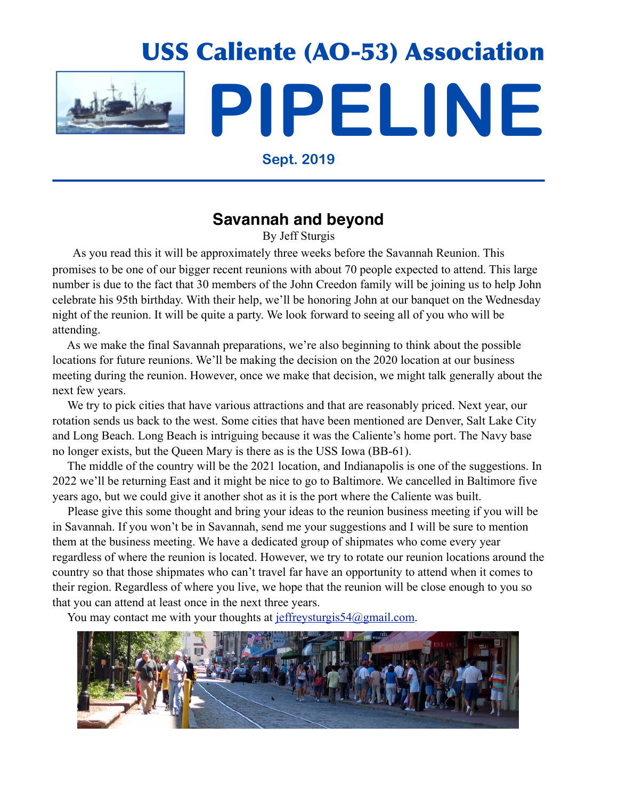

**Sept. 2019**

# **Savannah and beyond**

By Jeff Sturgis

 As you read this it will be approximately three weeks before the Savannah Reunion. This promises to be one of our bigger recent reunions with about 70 people expected to attend. This large number is due to the fact that 30 members of the John Creedon family will be joining us to help John celebrate his 95th birthday. With their help, we'll be honoring John at our banquet on the Wednesday night of the reunion. It will be quite a party. We look forward to seeing all of you who will be attending.

 As we make the final Savannah preparations, we're also beginning to think about the possible locations for future reunions. We'll be making the decision on the 2020 location at our business meeting during the reunion. However, once we make that decision, we might talk generally about the next few years.

We try to pick cities that have various attractions and that are reasonably priced. Next year, our rotation sends us back to the west. Some cities that have been mentioned are Denver, Salt Lake City and Long Beach. Long Beach is intriguing because it was the Caliente's home port. The Navy base no longer exists, but the Queen Mary is there as is the USS Iowa (BB-61).

 The middle of the country will be the 2021 location, and Indianapolis is one of the suggestions. In 2022 we'll be returning East and it might be nice to go to Baltimore. We cancelled in Baltimore five years ago, but we could give it another shot as it is the port where the Caliente was built.

 Please give this some thought and bring your ideas to the reunion business meeting if you will be in Savannah. If you won't be in Savannah, send me your suggestions and I will be sure to mention them at the business meeting. We have a dedicated group of shipmates who come every year regardless of where the reunion is located. However, we try to rotate our reunion locations around the country so that those shipmates who can't travel far have an opportunity to attend when it comes to their region. Regardless of where you live, we hope that the reunion will be close enough to you so that you can attend at least once in the next three years.

You may contact me with your thoughts at [jeffreysturgis54@gmail.com.](mailto:jeffreysturgis54@gmail.com)

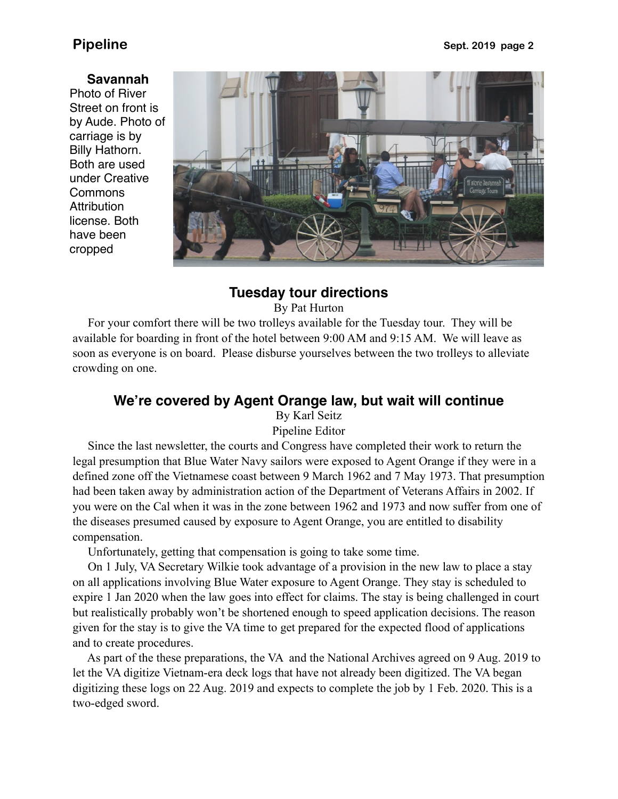### **Savannah**

Photo of River Street on front is by Aude. Photo of carriage is by Billy Hathorn. Both are used under Creative **Commons Attribution** license. Both have been cropped



## **Tuesday tour directions**

By Pat Hurton

 For your comfort there will be two trolleys available for the Tuesday tour. They will be available for boarding in front of the hotel between 9:00 AM and 9:15 AM. We will leave as soon as everyone is on board. Please disburse yourselves between the two trolleys to alleviate crowding on one.

## **We're covered by Agent Orange law, but wait will continue**

By Karl Seitz Pipeline Editor

 Since the last newsletter, the courts and Congress have completed their work to return the legal presumption that Blue Water Navy sailors were exposed to Agent Orange if they were in a defined zone off the Vietnamese coast between 9 March 1962 and 7 May 1973. That presumption had been taken away by administration action of the Department of Veterans Affairs in 2002. If you were on the Cal when it was in the zone between 1962 and 1973 and now suffer from one of the diseases presumed caused by exposure to Agent Orange, you are entitled to disability compensation.

Unfortunately, getting that compensation is going to take some time.

 On 1 July, VA Secretary Wilkie took advantage of a provision in the new law to place a stay on all applications involving Blue Water exposure to Agent Orange. They stay is scheduled to expire 1 Jan 2020 when the law goes into effect for claims. The stay is being challenged in court but realistically probably won't be shortened enough to speed application decisions. The reason given for the stay is to give the VA time to get prepared for the expected flood of applications and to create procedures.

 As part of the these preparations, the VA and the National Archives agreed on 9 Aug. 2019 to let the VA digitize Vietnam-era deck logs that have not already been digitized. The VA began digitizing these logs on 22 Aug. 2019 and expects to complete the job by 1 Feb. 2020. This is a two-edged sword.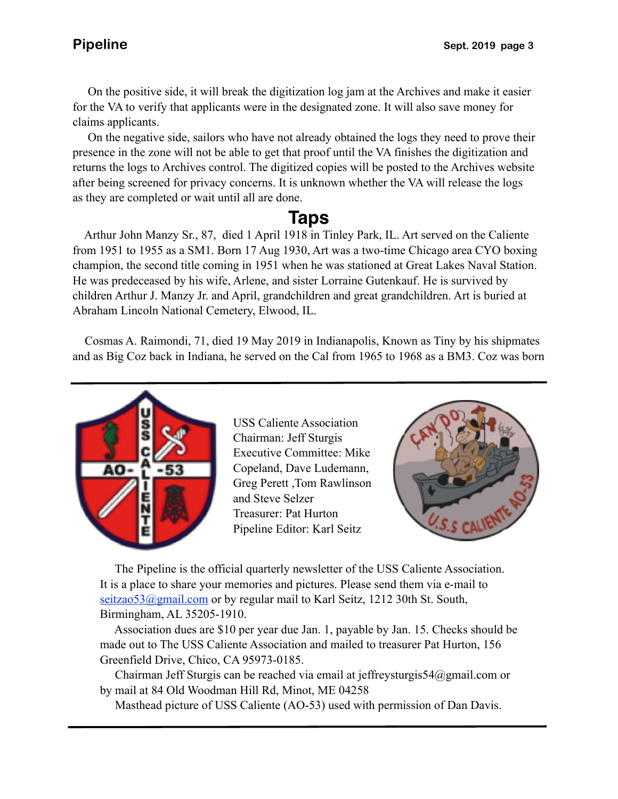On the positive side, it will break the digitization log jam at the Archives and make it easier for the VA to verify that applicants were in the designated zone. It will also save money for claims applicants.

after being screened for privacy concerns. It is unknown whether the VA will release the logs On the negative side, sailors who have not already obtained the logs they need to prove their presence in the zone will not be able to get that proof until the VA finishes the digitization and returns the logs to Archives control. The digitized copies will be posted to the Archives website as they are completed or wait until all are done.

# **Taps**

 Arthur John Manzy Sr., 87, died 1 April 1918 in Tinley Park, IL. Art served on the Caliente from 1951 to 1955 as a SM1. Born 17 Aug 1930, Art was a two-time Chicago area CYO boxing champion, the second title coming in 1951 when he was stationed at Great Lakes Naval Station. He was predeceased by his wife, Arlene, and sister Lorraine Gutenkauf. He is survived by children Arthur J. Manzy Jr. and April, grandchildren and great grandchildren. Art is buried at Abraham Lincoln National Cemetery, Elwood, IL.

 Cosmas A. Raimondi, 71, died 19 May 2019 in Indianapolis, Known as Tiny by his shipmates and as Big Coz back in Indiana, he served on the Cal from 1965 to 1968 as a BM3. Coz was born



USS Caliente Association Chairman: Jeff Sturgis Executive Committee: Mike Copeland, Dave Ludemann, Greg Perett ,Tom Rawlinson and Steve Selzer Treasurer: Pat Hurton Pipeline Editor: Karl Seitz



 The Pipeline is the official quarterly newsletter of the USS Caliente Association. It is a place to share your memories and pictures. Please send them via e-mail to seitzao53@gmail.com or by regular mail to Karl Seitz, 1212 30th St. South, Birmingham, AL 35205-1910.

 Association dues are \$10 per year due Jan. 1, payable by Jan. 15. Checks should be made out to The USS Caliente Association and mailed to treasurer Pat Hurton, 156 Greenfield Drive, Chico, CA 95973-0185.

 Chairman Jeff Sturgis can be reached via email at jeffreysturgis54@gmail.com or by mail at 84 Old Woodman Hill Rd, Minot, ME 04258

Masthead picture of USS Caliente (AO-53) used with permission of Dan Davis.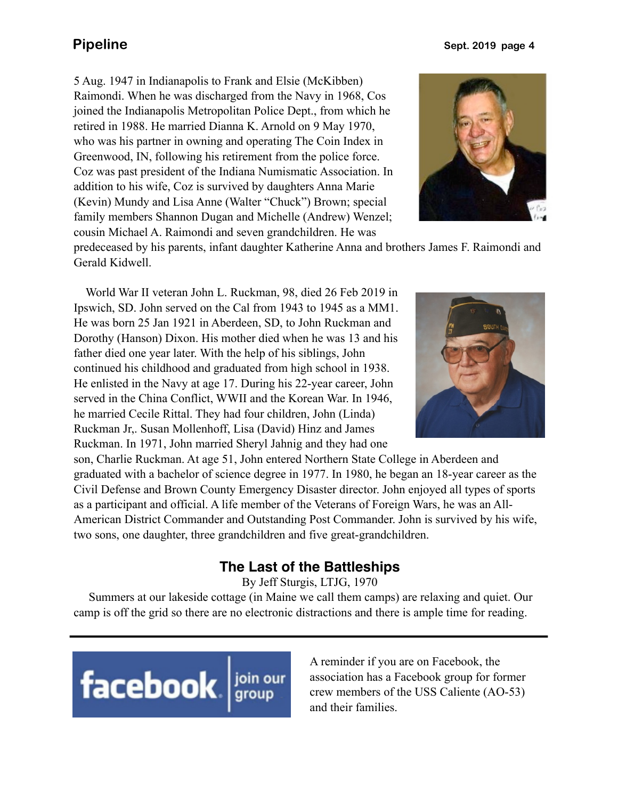**Pipeline** Sept. 2019 page 4

5 Aug. 1947 in Indianapolis to Frank and Elsie (McKibben) Raimondi. When he was discharged from the Navy in 1968, Cos joined the Indianapolis Metropolitan Police Dept., from which he retired in 1988. He married Dianna K. Arnold on 9 May 1970, who was his partner in owning and operating The Coin Index in Greenwood, IN, following his retirement from the police force. Coz was past president of the Indiana Numismatic Association. In addition to his wife, Coz is survived by daughters Anna Marie (Kevin) Mundy and Lisa Anne (Walter "Chuck") Brown; special family members Shannon Dugan and Michelle (Andrew) Wenzel; cousin Michael A. Raimondi and seven grandchildren. He was



predeceased by his parents, infant daughter Katherine Anna and brothers James F. Raimondi and Gerald Kidwell.

 World War II veteran John L. Ruckman, 98, died 26 Feb 2019 in Ipswich, SD. John served on the Cal from 1943 to 1945 as a MM1. He was born 25 Jan 1921 in Aberdeen, SD, to John Ruckman and Dorothy (Hanson) Dixon. His mother died when he was 13 and his father died one year later. With the help of his siblings, John continued his childhood and graduated from high school in 1938. He enlisted in the Navy at age 17. During his 22-year career, John served in the China Conflict, WWII and the Korean War. In 1946, he married Cecile Rittal. They had four children, John (Linda) Ruckman Jr,. Susan Mollenhoff, Lisa (David) Hinz and James Ruckman. In 1971, John married Sheryl Jahnig and they had one



son, Charlie Ruckman. At age 51, John entered Northern State College in Aberdeen and graduated with a bachelor of science degree in 1977. In 1980, he began an 18-year career as the Civil Defense and Brown County Emergency Disaster director. John enjoyed all types of sports as a participant and official. A life member of the Veterans of Foreign Wars, he was an All-American District Commander and Outstanding Post Commander. John is survived by his wife, two sons, one daughter, three grandchildren and five great-grandchildren.

## **The Last of the Battleships**

By Jeff Sturgis, LTJG, 1970

 Summers at our lakeside cottage (in Maine we call them camps) are relaxing and quiet. Our camp is off the grid so there are no electronic distractions and there is ample time for reading.



A reminder if you are on Facebook, the association has a Facebook group for former crew members of the USS Caliente (AO-53) and their families.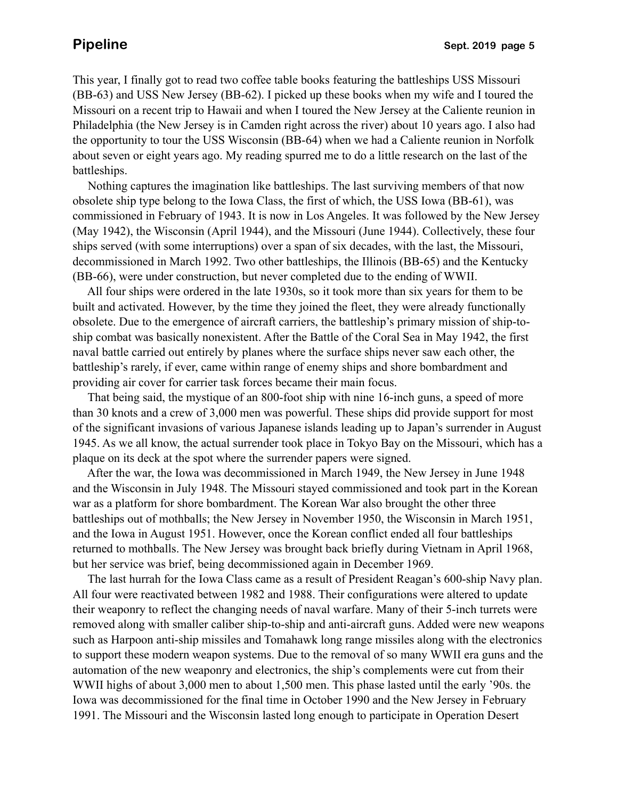This year, I finally got to read two coffee table books featuring the battleships USS Missouri (BB-63) and USS New Jersey (BB-62). I picked up these books when my wife and I toured the Missouri on a recent trip to Hawaii and when I toured the New Jersey at the Caliente reunion in Philadelphia (the New Jersey is in Camden right across the river) about 10 years ago. I also had the opportunity to tour the USS Wisconsin (BB-64) when we had a Caliente reunion in Norfolk about seven or eight years ago. My reading spurred me to do a little research on the last of the battleships.

 Nothing captures the imagination like battleships. The last surviving members of that now obsolete ship type belong to the Iowa Class, the first of which, the USS Iowa (BB-61), was commissioned in February of 1943. It is now in Los Angeles. It was followed by the New Jersey (May 1942), the Wisconsin (April 1944), and the Missouri (June 1944). Collectively, these four ships served (with some interruptions) over a span of six decades, with the last, the Missouri, decommissioned in March 1992. Two other battleships, the Illinois (BB-65) and the Kentucky (BB-66), were under construction, but never completed due to the ending of WWII.

 All four ships were ordered in the late 1930s, so it took more than six years for them to be built and activated. However, by the time they joined the fleet, they were already functionally obsolete. Due to the emergence of aircraft carriers, the battleship's primary mission of ship-toship combat was basically nonexistent. After the Battle of the Coral Sea in May 1942, the first naval battle carried out entirely by planes where the surface ships never saw each other, the battleship's rarely, if ever, came within range of enemy ships and shore bombardment and providing air cover for carrier task forces became their main focus.

 That being said, the mystique of an 800-foot ship with nine 16-inch guns, a speed of more than 30 knots and a crew of 3,000 men was powerful. These ships did provide support for most of the significant invasions of various Japanese islands leading up to Japan's surrender in August 1945. As we all know, the actual surrender took place in Tokyo Bay on the Missouri, which has a plaque on its deck at the spot where the surrender papers were signed.

 After the war, the Iowa was decommissioned in March 1949, the New Jersey in June 1948 and the Wisconsin in July 1948. The Missouri stayed commissioned and took part in the Korean war as a platform for shore bombardment. The Korean War also brought the other three battleships out of mothballs; the New Jersey in November 1950, the Wisconsin in March 1951, and the Iowa in August 1951. However, once the Korean conflict ended all four battleships returned to mothballs. The New Jersey was brought back briefly during Vietnam in April 1968, but her service was brief, being decommissioned again in December 1969.

 The last hurrah for the Iowa Class came as a result of President Reagan's 600-ship Navy plan. All four were reactivated between 1982 and 1988. Their configurations were altered to update their weaponry to reflect the changing needs of naval warfare. Many of their 5-inch turrets were removed along with smaller caliber ship-to-ship and anti-aircraft guns. Added were new weapons such as Harpoon anti-ship missiles and Tomahawk long range missiles along with the electronics to support these modern weapon systems. Due to the removal of so many WWII era guns and the automation of the new weaponry and electronics, the ship's complements were cut from their WWII highs of about 3,000 men to about 1,500 men. This phase lasted until the early '90s. the Iowa was decommissioned for the final time in October 1990 and the New Jersey in February 1991. The Missouri and the Wisconsin lasted long enough to participate in Operation Desert